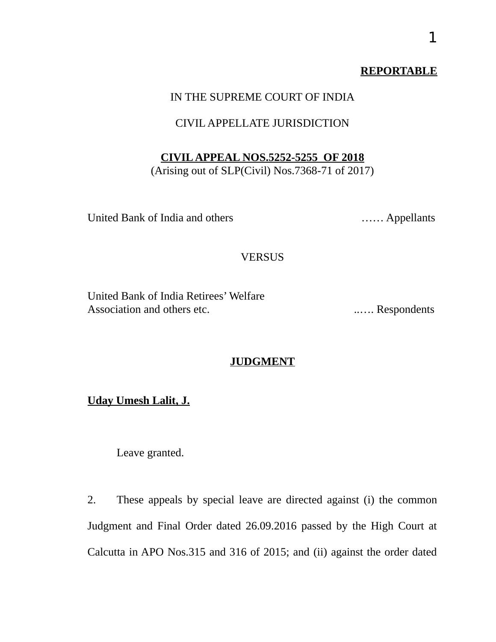## **REPORTABLE**

## IN THE SUPREME COURT OF INDIA

## CIVIL APPELLATE JURISDICTION

### **CIVIL APPEAL NOS.5252-5255 OF 2018**

(Arising out of SLP(Civil) Nos.7368-71 of 2017)

United Bank of India and others …… Appellants

### **VERSUS**

United Bank of India Retirees' Welfare Association and others etc. ..…. Respondents

### **JUDGMENT**

**Uday Umesh Lalit, J.**

Leave granted.

2. These appeals by special leave are directed against (i) the common Judgment and Final Order dated 26.09.2016 passed by the High Court at Calcutta in APO Nos.315 and 316 of 2015; and (ii) against the order dated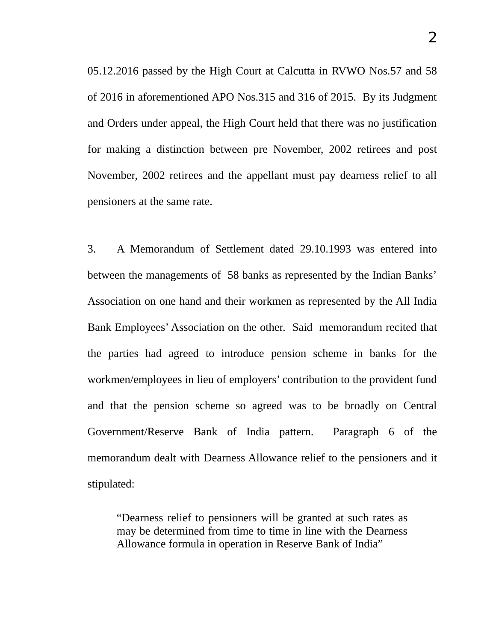2

05.12.2016 passed by the High Court at Calcutta in RVWO Nos.57 and 58 of 2016 in aforementioned APO Nos.315 and 316 of 2015. By its Judgment and Orders under appeal, the High Court held that there was no justification for making a distinction between pre November, 2002 retirees and post November, 2002 retirees and the appellant must pay dearness relief to all pensioners at the same rate.

3. A Memorandum of Settlement dated 29.10.1993 was entered into between the managements of 58 banks as represented by the Indian Banks' Association on one hand and their workmen as represented by the All India Bank Employees' Association on the other. Said memorandum recited that the parties had agreed to introduce pension scheme in banks for the workmen/employees in lieu of employers' contribution to the provident fund and that the pension scheme so agreed was to be broadly on Central Government/Reserve Bank of India pattern. Paragraph 6 of the memorandum dealt with Dearness Allowance relief to the pensioners and it stipulated:

"Dearness relief to pensioners will be granted at such rates as may be determined from time to time in line with the Dearness Allowance formula in operation in Reserve Bank of India"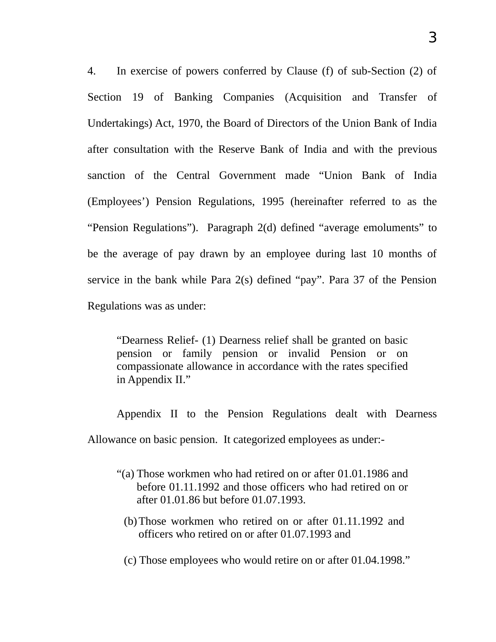4. In exercise of powers conferred by Clause (f) of sub-Section (2) of Section 19 of Banking Companies (Acquisition and Transfer of Undertakings) Act, 1970, the Board of Directors of the Union Bank of India after consultation with the Reserve Bank of India and with the previous sanction of the Central Government made "Union Bank of India (Employees') Pension Regulations, 1995 (hereinafter referred to as the "Pension Regulations"). Paragraph 2(d) defined "average emoluments" to be the average of pay drawn by an employee during last 10 months of service in the bank while Para 2(s) defined "pay". Para 37 of the Pension Regulations was as under:

"Dearness Relief- (1) Dearness relief shall be granted on basic pension or family pension or invalid Pension or on compassionate allowance in accordance with the rates specified in Appendix II."

Appendix II to the Pension Regulations dealt with Dearness Allowance on basic pension. It categorized employees as under:-

- "(a) Those workmen who had retired on or after 01.01.1986 and before 01.11.1992 and those officers who had retired on or after 01.01.86 but before 01.07.1993.
	- (b)Those workmen who retired on or after 01.11.1992 and officers who retired on or after 01.07.1993 and

(c) Those employees who would retire on or after 01.04.1998."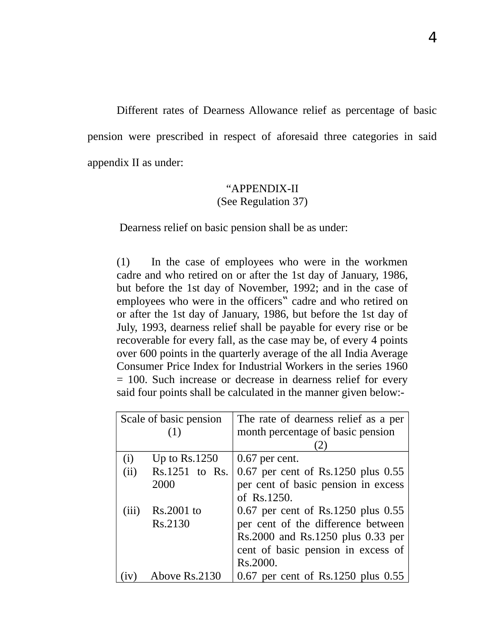Different rates of Dearness Allowance relief as percentage of basic pension were prescribed in respect of aforesaid three categories in said appendix II as under:

## "APPENDIX-II (See Regulation 37)

Dearness relief on basic pension shall be as under:

(1) In the case of employees who were in the workmen cadre and who retired on or after the 1st day of January, 1986, but before the 1st day of November, 1992; and in the case of employees who were in the officers" cadre and who retired on or after the 1st day of January, 1986, but before the 1st day of July, 1993, dearness relief shall be payable for every rise or be recoverable for every fall, as the case may be, of every 4 points over 600 points in the quarterly average of the all India Average Consumer Price Index for Industrial Workers in the series 1960 = 100. Such increase or decrease in dearness relief for every said four points shall be calculated in the manner given below:-

| Scale of basic pension |                 | The rate of dearness relief as a per   |
|------------------------|-----------------|----------------------------------------|
|                        | (1)             | month percentage of basic pension      |
|                        |                 |                                        |
| (i)                    | Up to $Rs.1250$ | $0.67$ per cent.                       |
| (ii)                   | Rs.1251 to Rs.  | 0.67 per cent of Rs.1250 plus 0.55     |
|                        | 2000            | per cent of basic pension in excess    |
|                        |                 | of Rs.1250.                            |
| (iii)                  | Rs.2001 to      | 0.67 per cent of Rs.1250 plus 0.55     |
|                        | Rs.2130         | per cent of the difference between     |
|                        |                 | Rs.2000 and Rs.1250 plus 0.33 per      |
|                        |                 | cent of basic pension in excess of     |
|                        |                 | Rs.2000.                               |
|                        | Above Rs.2130   | $0.67$ per cent of Rs.1250 plus $0.55$ |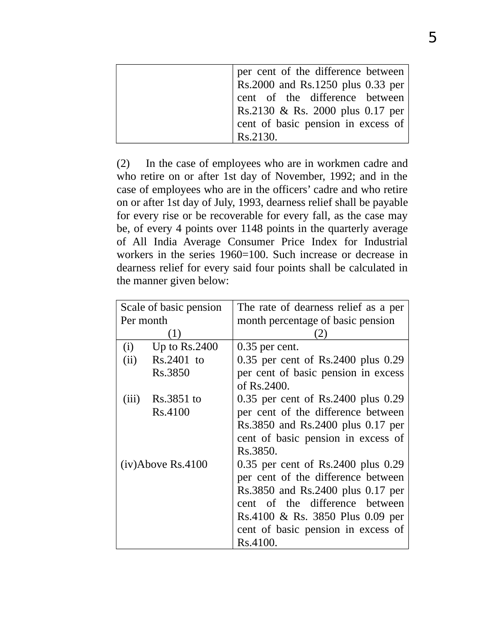| per cent of the difference between |
|------------------------------------|
| Rs.2000 and Rs.1250 plus 0.33 per  |
| cent of the difference between     |
| Rs.2130 & Rs. 2000 plus 0.17 per   |
| cent of basic pension in excess of |
| Rs. 2130.                          |

(2) In the case of employees who are in workmen cadre and who retire on or after 1st day of November, 1992; and in the case of employees who are in the officers' cadre and who retire on or after 1st day of July, 1993, dearness relief shall be payable for every rise or be recoverable for every fall, as the case may be, of every 4 points over 1148 points in the quarterly average of All India Average Consumer Price Index for Industrial workers in the series 1960=100. Such increase or decrease in dearness relief for every said four points shall be calculated in the manner given below:

| Scale of basic pension |                   | The rate of dearness relief as a per |  |  |
|------------------------|-------------------|--------------------------------------|--|--|
| Per month              |                   | month percentage of basic pension    |  |  |
|                        | $\left  \right $  |                                      |  |  |
| (i)                    | Up to $Rs.2400$   | $0.35$ per cent.                     |  |  |
| (ii)                   | Rs.2401 to        | 0.35 per cent of Rs.2400 plus 0.29   |  |  |
|                        | Rs.3850           | per cent of basic pension in excess  |  |  |
|                        |                   | of Rs.2400.                          |  |  |
| (iii)                  | Rs.3851 to        | 0.35 per cent of Rs.2400 plus 0.29   |  |  |
|                        | Rs.4100           | per cent of the difference between   |  |  |
|                        |                   | Rs.3850 and Rs.2400 plus 0.17 per    |  |  |
|                        |                   | cent of basic pension in excess of   |  |  |
|                        |                   | Rs.3850.                             |  |  |
|                        | (iv)Above Rs.4100 | 0.35 per cent of Rs.2400 plus 0.29   |  |  |
|                        |                   | per cent of the difference between   |  |  |
|                        |                   | Rs.3850 and Rs.2400 plus 0.17 per    |  |  |
|                        |                   | cent of the difference between       |  |  |
|                        |                   | Rs.4100 & Rs. 3850 Plus 0.09 per     |  |  |
|                        |                   | cent of basic pension in excess of   |  |  |
|                        |                   | Rs.4100.                             |  |  |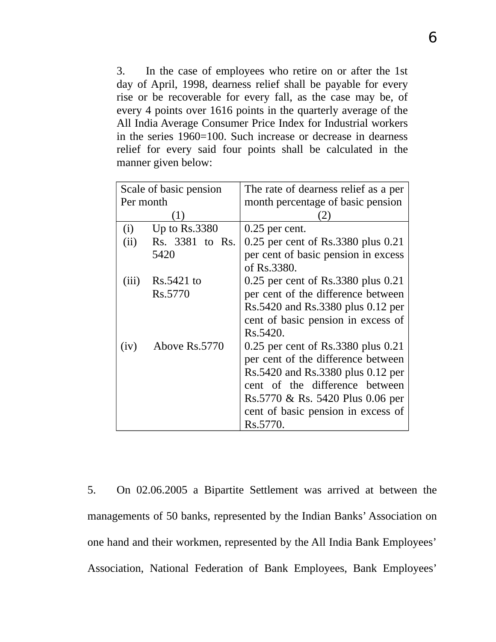3. In the case of employees who retire on or after the 1st day of April, 1998, dearness relief shall be payable for every rise or be recoverable for every fall, as the case may be, of every 4 points over 1616 points in the quarterly average of the All India Average Consumer Price Index for Industrial workers in the series 1960=100. Such increase or decrease in dearness relief for every said four points shall be calculated in the manner given below:

| Scale of basic pension |                 | The rate of dearness relief as a per               |
|------------------------|-----------------|----------------------------------------------------|
| Per month              |                 | month percentage of basic pension                  |
|                        | (1)             |                                                    |
| (i)                    | Up to $Rs.3380$ | $0.25$ per cent.                                   |
| (ii)                   | Rs. 3381 to Rs. | 0.25 per cent of Rs.3380 plus 0.21                 |
|                        | 5420            | per cent of basic pension in excess<br>of Rs.3380. |
| (iii)                  | Rs.5421 to      | 0.25 per cent of Rs.3380 plus 0.21                 |
|                        | Rs.5770         | per cent of the difference between                 |
|                        |                 | Rs.5420 and Rs.3380 plus 0.12 per                  |
|                        |                 | cent of basic pension in excess of                 |
|                        |                 | Rs.5420.                                           |
| (iv)                   | Above Rs.5770   | 0.25 per cent of Rs.3380 plus 0.21                 |
|                        |                 | per cent of the difference between                 |
|                        |                 | Rs.5420 and Rs.3380 plus 0.12 per                  |
|                        |                 | cent of the difference between                     |
|                        |                 | Rs.5770 & Rs. 5420 Plus 0.06 per                   |
|                        |                 | cent of basic pension in excess of                 |
|                        |                 | Rs.5770.                                           |

5. On 02.06.2005 a Bipartite Settlement was arrived at between the managements of 50 banks, represented by the Indian Banks' Association on one hand and their workmen, represented by the All India Bank Employees' Association, National Federation of Bank Employees, Bank Employees'

6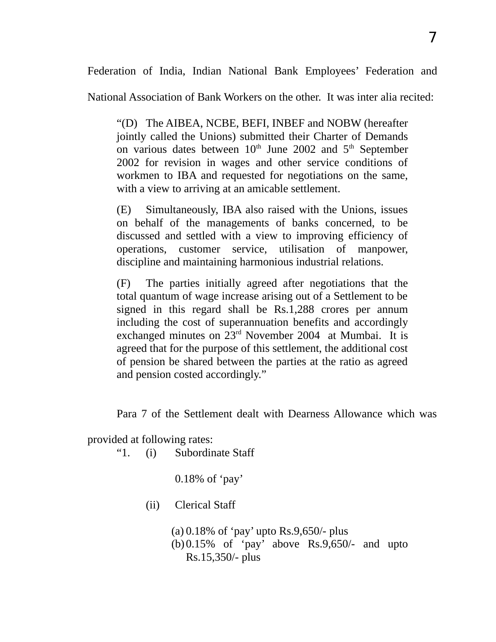Federation of India, Indian National Bank Employees' Federation and

National Association of Bank Workers on the other. It was inter alia recited:

"(D) The AIBEA, NCBE, BEFI, INBEF and NOBW (hereafter jointly called the Unions) submitted their Charter of Demands on various dates between  $10<sup>th</sup>$  June 2002 and  $5<sup>th</sup>$  September 2002 for revision in wages and other service conditions of workmen to IBA and requested for negotiations on the same, with a view to arriving at an amicable settlement.

(E) Simultaneously, IBA also raised with the Unions, issues on behalf of the managements of banks concerned, to be discussed and settled with a view to improving efficiency of operations, customer service, utilisation of manpower, discipline and maintaining harmonious industrial relations.

(F) The parties initially agreed after negotiations that the total quantum of wage increase arising out of a Settlement to be signed in this regard shall be Rs.1,288 crores per annum including the cost of superannuation benefits and accordingly exchanged minutes on 23<sup>rd</sup> November 2004 at Mumbai. It is agreed that for the purpose of this settlement, the additional cost of pension be shared between the parties at the ratio as agreed and pension costed accordingly."

Para 7 of the Settlement dealt with Dearness Allowance which was

provided at following rates:

"1. (i) Subordinate Staff

0.18% of 'pay'

(ii) Clerical Staff

(a) 0.18% of 'pay' upto Rs.9,650/- plus (b)0.15% of 'pay' above Rs.9,650/- and upto Rs.15,350/- plus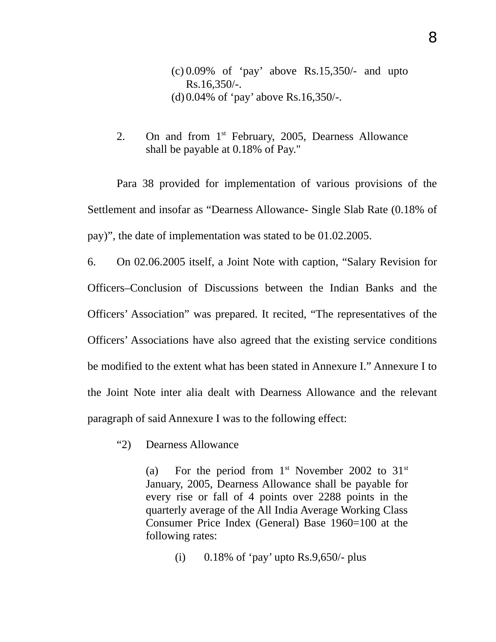(c) 0.09% of 'pay' above Rs.15,350/- and upto Rs.16,350/-. (d)0.04% of 'pay' above Rs.16,350/-.

2. On and from  $1<sup>st</sup>$  February, 2005, Dearness Allowance shall be payable at 0.18% of Pay."

Para 38 provided for implementation of various provisions of the Settlement and insofar as "Dearness Allowance- Single Slab Rate (0.18% of pay)", the date of implementation was stated to be 01.02.2005.

6. On 02.06.2005 itself, a Joint Note with caption, "Salary Revision for Officers–Conclusion of Discussions between the Indian Banks and the Officers' Association" was prepared. It recited, "The representatives of the Officers' Associations have also agreed that the existing service conditions be modified to the extent what has been stated in Annexure I." Annexure I to the Joint Note inter alia dealt with Dearness Allowance and the relevant paragraph of said Annexure I was to the following effect:

"2) Dearness Allowance

(a) For the period from  $1<sup>st</sup>$  November 2002 to  $31<sup>st</sup>$ January, 2005, Dearness Allowance shall be payable for every rise or fall of 4 points over 2288 points in the quarterly average of the All India Average Working Class Consumer Price Index (General) Base 1960=100 at the following rates:

(i)  $0.18\%$  of 'pay' upto Rs.9,650/- plus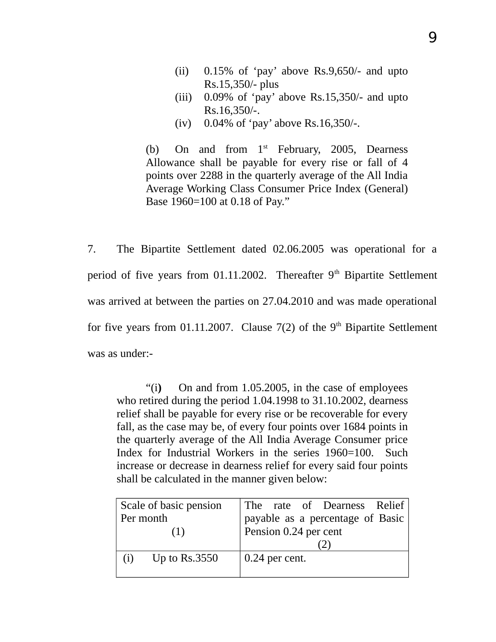- (ii) 0.15% of 'pay' above Rs.9,650/- and upto Rs.15,350/- plus
- (iii) 0.09% of 'pay' above Rs.15,350/- and upto Rs.16,350/-.
- (iv) 0.04% of 'pay' above Rs.16,350/-.

(b) On and from  $1<sup>st</sup>$  February, 2005, Dearness Allowance shall be payable for every rise or fall of 4 points over 2288 in the quarterly average of the All India Average Working Class Consumer Price Index (General) Base 1960=100 at 0.18 of Pay."

7. The Bipartite Settlement dated 02.06.2005 was operational for a period of five years from 01.11.2002. Thereafter  $9<sup>th</sup>$  Bipartite Settlement was arrived at between the parties on 27.04.2010 and was made operational for five years from 01.11.2007. Clause  $7(2)$  of the 9<sup>th</sup> Bipartite Settlement was as under:-

"(i**)** On and from 1.05.2005, in the case of employees who retired during the period 1.04.1998 to 31.10.2002, dearness relief shall be payable for every rise or be recoverable for every fall, as the case may be, of every four points over 1684 points in the quarterly average of the All India Average Consumer price Index for Industrial Workers in the series 1960=100. Such increase or decrease in dearness relief for every said four points shall be calculated in the manner given below:

|           | Scale of basic pension |                       | The rate of Dearness Relief      |  |
|-----------|------------------------|-----------------------|----------------------------------|--|
| Per month |                        |                       | payable as a percentage of Basic |  |
|           | (1)                    | Pension 0.24 per cent |                                  |  |
|           |                        |                       |                                  |  |
| (i)       | Up to $\text{Rs}.3550$ | $0.24$ per cent.      |                                  |  |
|           |                        |                       |                                  |  |

9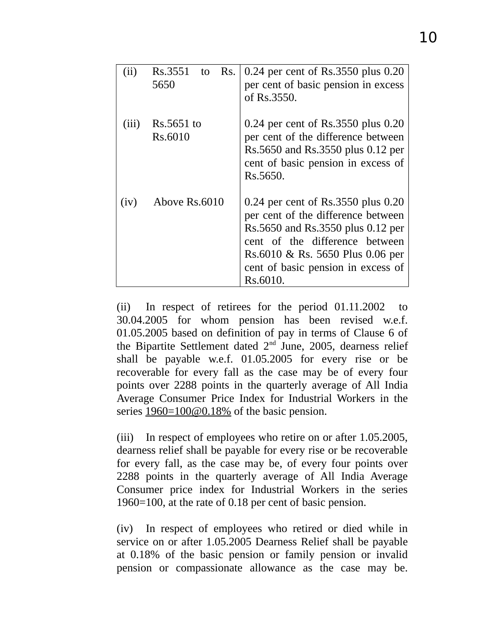| (ii)  | Rs.3551<br>Rs.<br>to<br>5650 | 0.24 per cent of Rs.3550 plus 0.20<br>per cent of basic pension in excess<br>of Rs.3550.                                                                                                                                              |
|-------|------------------------------|---------------------------------------------------------------------------------------------------------------------------------------------------------------------------------------------------------------------------------------|
| (iii) | Rs.5651 to<br>Rs.6010        | 0.24 per cent of Rs.3550 plus 0.20<br>per cent of the difference between<br>Rs.5650 and Rs.3550 plus 0.12 per<br>cent of basic pension in excess of<br>Rs.5650.                                                                       |
| (iv)  | Above Rs.6010                | 0.24 per cent of Rs.3550 plus 0.20<br>per cent of the difference between<br>Rs.5650 and Rs.3550 plus 0.12 per<br>cent of the difference between<br>Rs.6010 & Rs. 5650 Plus 0.06 per<br>cent of basic pension in excess of<br>Rs.6010. |

(ii) In respect of retirees for the period 01.11.2002 to 30.04.2005 for whom pension has been revised w.e.f. 01.05.2005 based on definition of pay in terms of Clause 6 of the Bipartite Settlement dated  $2<sup>nd</sup>$  June, 2005, dearness relief shall be payable w.e.f. 01.05.2005 for every rise or be recoverable for every fall as the case may be of every four points over 2288 points in the quarterly average of All India Average Consumer Price Index for Industrial Workers in the series  $1960=100@0.18%$  of the basic pension.

(iii) In respect of employees who retire on or after 1.05.2005, dearness relief shall be payable for every rise or be recoverable for every fall, as the case may be, of every four points over 2288 points in the quarterly average of All India Average Consumer price index for Industrial Workers in the series 1960=100, at the rate of 0.18 per cent of basic pension.

(iv) In respect of employees who retired or died while in service on or after 1.05.2005 Dearness Relief shall be payable at 0.18% of the basic pension or family pension or invalid pension or compassionate allowance as the case may be.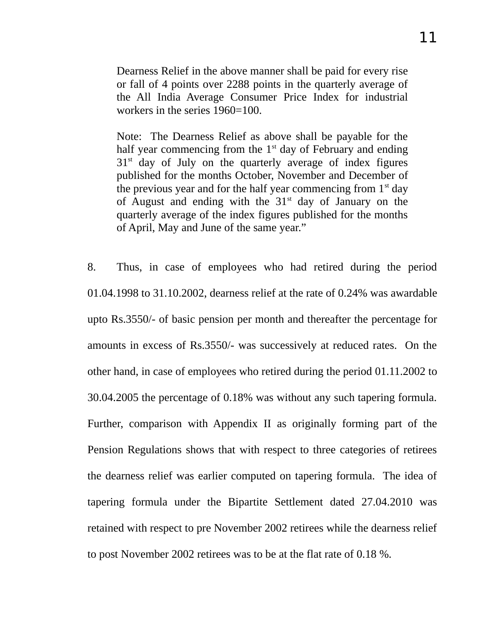Dearness Relief in the above manner shall be paid for every rise or fall of 4 points over 2288 points in the quarterly average of the All India Average Consumer Price Index for industrial workers in the series 1960=100.

Note: The Dearness Relief as above shall be payable for the half year commencing from the  $1<sup>st</sup>$  day of February and ending  $31<sup>st</sup>$  day of July on the quarterly average of index figures published for the months October, November and December of the previous year and for the half year commencing from  $1<sup>st</sup>$  day of August and ending with the  $31<sup>st</sup>$  day of January on the quarterly average of the index figures published for the months of April, May and June of the same year."

8. Thus, in case of employees who had retired during the period 01.04.1998 to 31.10.2002, dearness relief at the rate of 0.24% was awardable upto Rs.3550/- of basic pension per month and thereafter the percentage for amounts in excess of Rs.3550/- was successively at reduced rates. On the other hand, in case of employees who retired during the period 01.11.2002 to 30.04.2005 the percentage of 0.18% was without any such tapering formula. Further, comparison with Appendix II as originally forming part of the Pension Regulations shows that with respect to three categories of retirees the dearness relief was earlier computed on tapering formula. The idea of tapering formula under the Bipartite Settlement dated 27.04.2010 was retained with respect to pre November 2002 retirees while the dearness relief to post November 2002 retirees was to be at the flat rate of 0.18 %.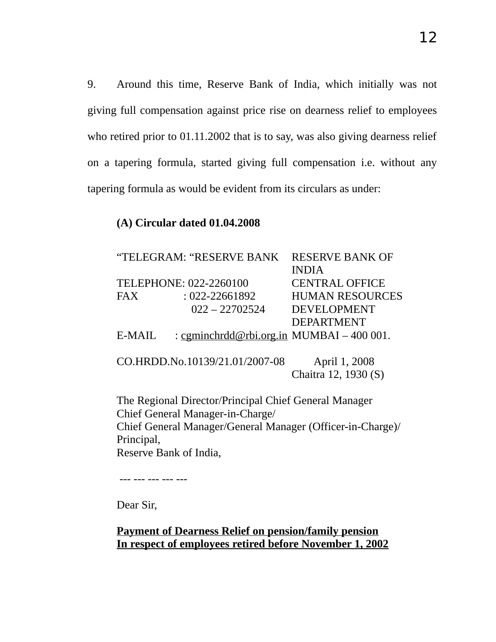9. Around this time, Reserve Bank of India, which initially was not giving full compensation against price rise on dearness relief to employees who retired prior to 01.11.2002 that is to say, was also giving dearness relief on a tapering formula, started giving full compensation i.e. without any tapering formula as would be evident from its circulars as under:

## **(A) Circular dated 01.04.2008**

|                        | "TELEGRAM: "RESERVE BANK                                   | <b>RESERVE BANK OF</b> |
|------------------------|------------------------------------------------------------|------------------------|
|                        |                                                            | <b>INDIA</b>           |
|                        | TELEPHONE: 022-2260100                                     | <b>CENTRAL OFFICE</b>  |
| <b>FAX</b>             | : 022-22661892                                             | <b>HUMAN RESOURCES</b> |
|                        | $022 - 22702524$                                           | <b>DEVELOPMENT</b>     |
|                        |                                                            | <b>DEPARTMENT</b>      |
| E-MAIL                 | : cgminchrdd@rbi.org.in MUMBAI – 400 001.                  |                        |
|                        |                                                            |                        |
|                        | CO.HRDD.No.10139/21.01/2007-08                             | April 1, 2008          |
|                        |                                                            | Chaitra 12, 1930 (S)   |
|                        | The Regional Director/Principal Chief General Manager      |                        |
|                        | Chief General Manager-in-Charge/                           |                        |
|                        | Chief General Manager/General Manager (Officer-in-Charge)/ |                        |
| Principal,             |                                                            |                        |
| Reserve Bank of India, |                                                            |                        |

--- --- --- --- ---

Dear Sir,

## **Payment of Dearness Relief on pension/family pension In respect of employees retired before November 1, 2002**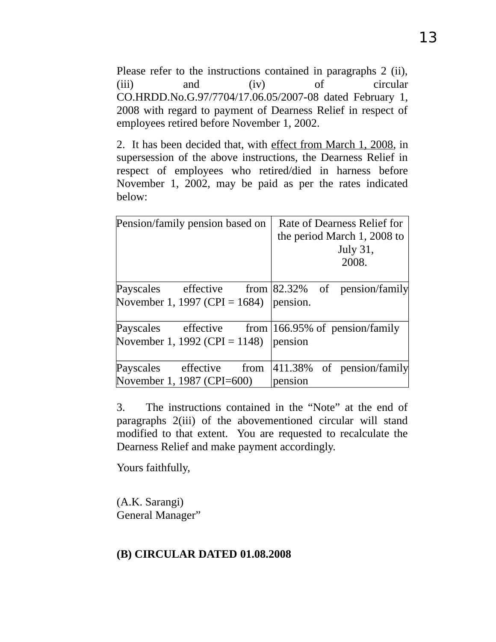Please refer to the instructions contained in paragraphs 2 (ii), (iii) and (iv) of circular CO.HRDD.No.G.97/7704/17.06.05/2007-08 dated February 1, 2008 with regard to payment of Dearness Relief in respect of employees retired before November 1, 2002.

2. It has been decided that, with effect from March 1, 2008, in supersession of the above instructions, the Dearness Relief in respect of employees who retired/died in harness before November 1, 2002, may be paid as per the rates indicated below:

| Pension/family pension based on                                     | Rate of Dearness Relief for |
|---------------------------------------------------------------------|-----------------------------|
|                                                                     | the period March 1, 2008 to |
|                                                                     | July 31,                    |
|                                                                     | 2008.                       |
| Payscales effective from $\left  82.32\% \right $ of pension/family |                             |
| November 1, 1997 (CPI = 1684)                                       | pension.                    |
| Payscales effective from $ 166.95\%$ of pension/family              |                             |
| November 1, 1992 (CPI = $1148$ )                                    | pension                     |
| Payscales effective from                                            | 411.38% of pension/family   |
| November 1, 1987 (CPI=600)                                          | pension                     |

3. The instructions contained in the "Note" at the end of paragraphs 2(iii) of the abovementioned circular will stand modified to that extent. You are requested to recalculate the Dearness Relief and make payment accordingly.

Yours faithfully,

(A.K. Sarangi) General Manager"

## **(B) CIRCULAR DATED 01.08.2008**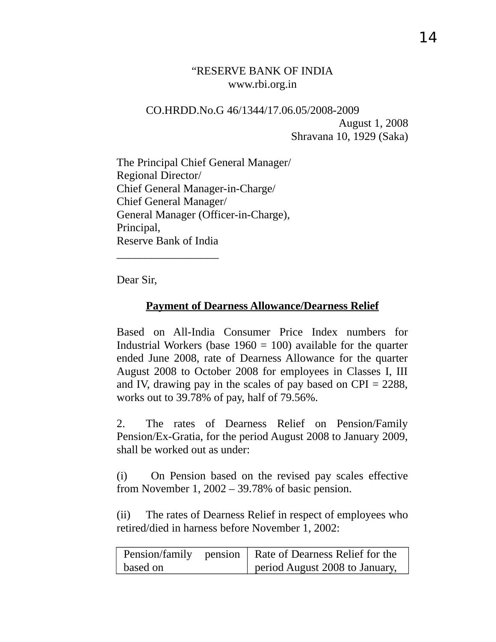## "RESERVE BANK OF INDIA www.rbi.org.in

# CO.HRDD.No.G 46/1344/17.06.05/2008-2009 August 1, 2008 Shravana 10, 1929 (Saka)

The Principal Chief General Manager/ Regional Director/ Chief General Manager-in-Charge/ Chief General Manager/ General Manager (Officer-in-Charge), Principal, Reserve Bank of India

Dear Sir,

\_\_\_\_\_\_\_\_\_\_\_\_\_\_\_\_\_\_

# **Payment of Dearness Allowance/Dearness Relief**

Based on All-India Consumer Price Index numbers for Industrial Workers (base  $1960 = 100$ ) available for the quarter ended June 2008, rate of Dearness Allowance for the quarter August 2008 to October 2008 for employees in Classes I, III and IV, drawing pay in the scales of pay based on  $CPI = 2288$ , works out to 39.78% of pay, half of 79.56%.

2. The rates of Dearness Relief on Pension/Family Pension/Ex-Gratia, for the period August 2008 to January 2009, shall be worked out as under:

(i) On Pension based on the revised pay scales effective from November 1, 2002 – 39.78% of basic pension.

(ii) The rates of Dearness Relief in respect of employees who retired/died in harness before November 1, 2002:

|          | Pension/family pension   Rate of Dearness Relief for the |
|----------|----------------------------------------------------------|
| based on | period August 2008 to January,                           |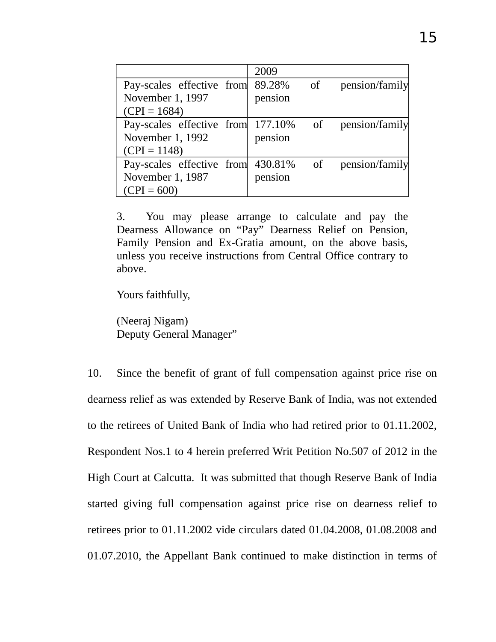|                                      | 2009    |    |                |
|--------------------------------------|---------|----|----------------|
| Pay-scales effective from            | 89.28%  | of | pension/family |
| November 1, 1997                     | pension |    |                |
| $(CPI = 1684)$                       |         |    |                |
| Pay-scales effective from 177.10% of |         |    | pension/family |
| November 1, 1992                     | pension |    |                |
| $(CPI = 1148)$                       |         |    |                |
| Pay-scales effective from 430.81%    |         | of | pension/family |
| November 1, 1987                     | pension |    |                |
| $(CPI = 600)$                        |         |    |                |

3. You may please arrange to calculate and pay the Dearness Allowance on "Pay" Dearness Relief on Pension, Family Pension and Ex-Gratia amount, on the above basis, unless you receive instructions from Central Office contrary to above.

Yours faithfully,

(Neeraj Nigam) Deputy General Manager"

10. Since the benefit of grant of full compensation against price rise on dearness relief as was extended by Reserve Bank of India, was not extended to the retirees of United Bank of India who had retired prior to 01.11.2002, Respondent Nos.1 to 4 herein preferred Writ Petition No.507 of 2012 in the High Court at Calcutta. It was submitted that though Reserve Bank of India started giving full compensation against price rise on dearness relief to retirees prior to 01.11.2002 vide circulars dated 01.04.2008, 01.08.2008 and 01.07.2010, the Appellant Bank continued to make distinction in terms of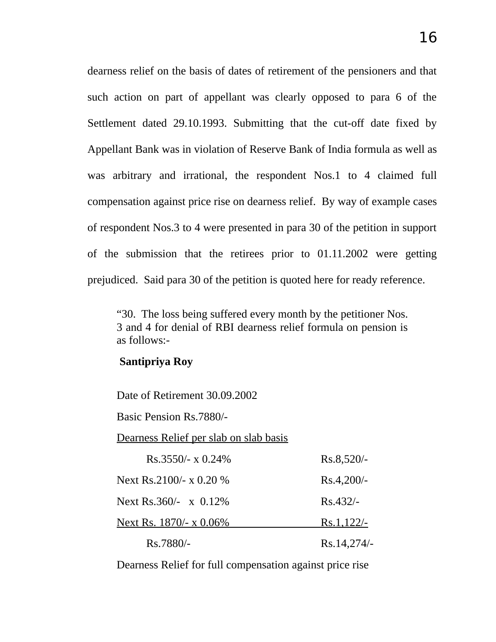dearness relief on the basis of dates of retirement of the pensioners and that such action on part of appellant was clearly opposed to para 6 of the Settlement dated 29.10.1993. Submitting that the cut-off date fixed by Appellant Bank was in violation of Reserve Bank of India formula as well as was arbitrary and irrational, the respondent Nos.1 to 4 claimed full compensation against price rise on dearness relief. By way of example cases of respondent Nos.3 to 4 were presented in para 30 of the petition in support of the submission that the retirees prior to 01.11.2002 were getting prejudiced. Said para 30 of the petition is quoted here for ready reference.

"30. The loss being suffered every month by the petitioner Nos. 3 and 4 for denial of RBI dearness relief formula on pension is as follows:-

#### **Santipriya Roy**

Date of Retirement 30.09.2002 Basic Pension Rs.7880/-

Dearness Relief per slab on slab basis

| $Rs.3550/- x 0.24\%$           | $Rs.8,520/-$ |
|--------------------------------|--------------|
| Next Rs.2100/- $\times$ 0.20 % | $Rs.4,200/-$ |
| Next Rs.360/- $\times$ 0.12%   | $Rs.432/-$   |
| Next Rs. $1870/- x 0.06\%$     | $Rs.1,122/-$ |
| Rs.7880/-                      | Rs.14,274/-  |

Dearness Relief for full compensation against price rise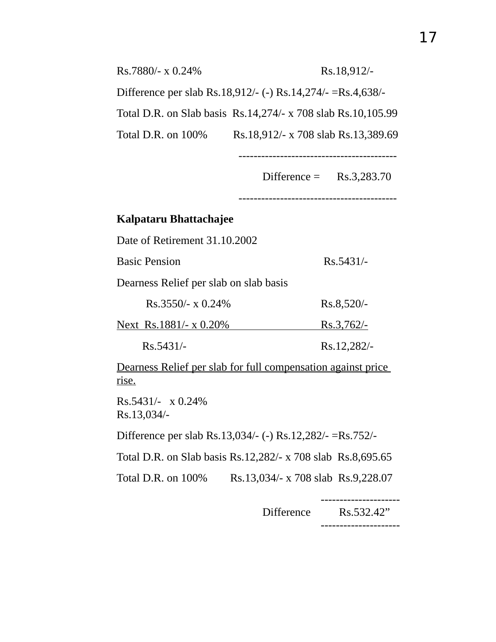| Rs.7880/- x 0.24%     | Rs.18,912/-                                                  |
|-----------------------|--------------------------------------------------------------|
|                       | Difference per slab Rs.18,912/- (-) Rs.14,274/- =Rs.4,638/-  |
|                       | Total D.R. on Slab basis Rs.14,274/- x 708 slab Rs.10,105.99 |
| Total D.R. on $100\%$ | Rs.18,912/- x 708 slab Rs.13,389.69                          |

Difference = Rs.3,283.70

------------------------------------------

------------------------------------------

## **Kalpataru Bhattachajee**

Date of Retirement 31.10.2002

Basic Pension Rs.5431/-

Dearness Relief per slab on slab basis

| $Rs.3550/- x 0.24\%$   | $Rs.8,520/-$ |
|------------------------|--------------|
| Next_Rs.1881/- x 0.20% | $Rs.3,762/-$ |

Rs.5431/- Rs.12,282/-

Dearness Relief per slab for full compensation against price rise.

Rs.5431/- x 0.24% Rs.13,034/-

Difference per slab Rs.13,034/- (-) Rs.12,282/- =Rs.752/-

Total D.R. on Slab basis Rs.12,282/- x 708 slab Rs.8,695.65

Total D.R. on 100% Rs.13,034/- x 708 slab Rs.9,228.07

--------------------- Difference Rs.532.42" ---------------------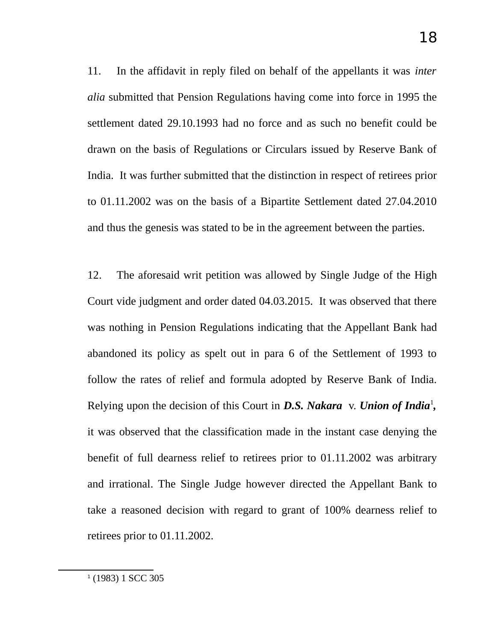11. In the affidavit in reply filed on behalf of the appellants it was *inter alia* submitted that Pension Regulations having come into force in 1995 the settlement dated 29.10.1993 had no force and as such no benefit could be drawn on the basis of Regulations or Circulars issued by Reserve Bank of India. It was further submitted that the distinction in respect of retirees prior to 01.11.2002 was on the basis of a Bipartite Settlement dated 27.04.2010 and thus the genesis was stated to be in the agreement between the parties.

<span id="page-17-0"></span>12. The aforesaid writ petition was allowed by Single Judge of the High Court vide judgment and order dated 04.03.2015. It was observed that there was nothing in Pension Regulations indicating that the Appellant Bank had abandoned its policy as spelt out in para 6 of the Settlement of 1993 to follow the rates of relief and formula adopted by Reserve Bank of India. Relying upon the decision of this Court in D.S. Nakara v. Union of India<sup>[1](#page-17-0)</sup>, it was observed that the classification made in the instant case denying the benefit of full dearness relief to retirees prior to 01.11.2002 was arbitrary and irrational. The Single Judge however directed the Appellant Bank to take a reasoned decision with regard to grant of 100% dearness relief to retirees prior to 01.11.2002.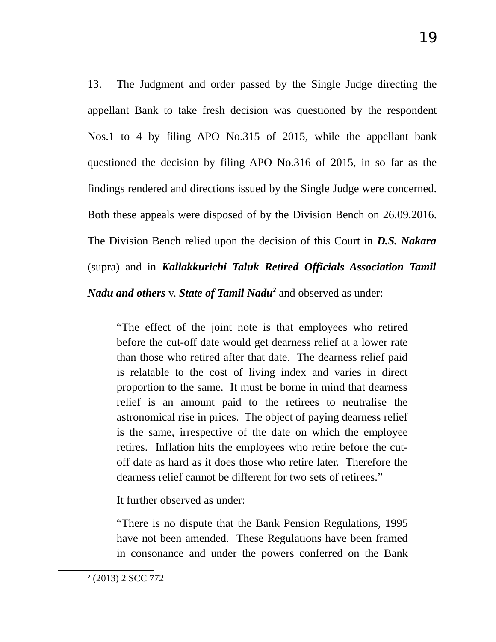13. The Judgment and order passed by the Single Judge directing the appellant Bank to take fresh decision was questioned by the respondent Nos.1 to 4 by filing APO No.315 of 2015, while the appellant bank questioned the decision by filing APO No.316 of 2015, in so far as the findings rendered and directions issued by the Single Judge were concerned. Both these appeals were disposed of by the Division Bench on 26.09.2016. The Division Bench relied upon the decision of this Court in *D.S. Nakara* (supra) and in *Kallakkurichi Taluk Retired Officials Association Tamil*

*Nadu and others* v. *State of Tamil Nadu[2](#page-18-0)* and observed as under:

"The effect of the joint note is that employees who retired before the cut-off date would get dearness relief at a lower rate than those who retired after that date. The dearness relief paid is relatable to the cost of living index and varies in direct proportion to the same. It must be borne in mind that dearness relief is an amount paid to the retirees to neutralise the astronomical rise in prices. The object of paying dearness relief is the same, irrespective of the date on which the employee retires. Inflation hits the employees who retire before the cutoff date as hard as it does those who retire later. Therefore the dearness relief cannot be different for two sets of retirees."

It further observed as under:

"There is no dispute that the Bank Pension Regulations, 1995 have not been amended. These Regulations have been framed in consonance and under the powers conferred on the Bank

<span id="page-18-0"></span><sup>2</sup> (2013) 2 SCC 772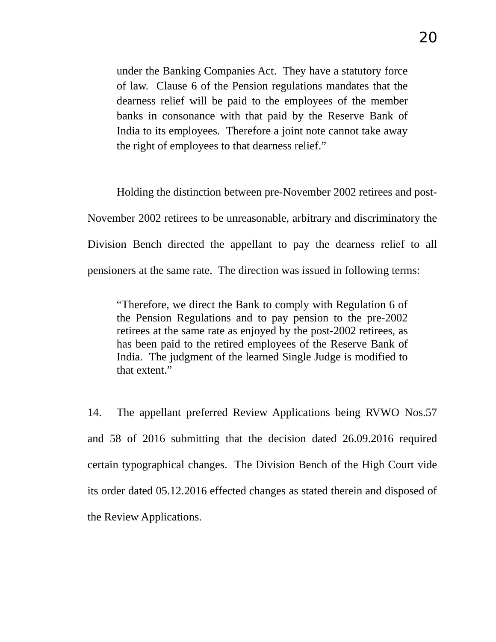under the Banking Companies Act. They have a statutory force of law. Clause 6 of the Pension regulations mandates that the dearness relief will be paid to the employees of the member banks in consonance with that paid by the Reserve Bank of India to its employees. Therefore a joint note cannot take away the right of employees to that dearness relief."

Holding the distinction between pre-November 2002 retirees and post-November 2002 retirees to be unreasonable, arbitrary and discriminatory the Division Bench directed the appellant to pay the dearness relief to all pensioners at the same rate. The direction was issued in following terms:

"Therefore, we direct the Bank to comply with Regulation 6 of the Pension Regulations and to pay pension to the pre-2002 retirees at the same rate as enjoyed by the post-2002 retirees, as has been paid to the retired employees of the Reserve Bank of India. The judgment of the learned Single Judge is modified to that extent."

14. The appellant preferred Review Applications being RVWO Nos.57 and 58 of 2016 submitting that the decision dated 26.09.2016 required certain typographical changes. The Division Bench of the High Court vide its order dated 05.12.2016 effected changes as stated therein and disposed of the Review Applications.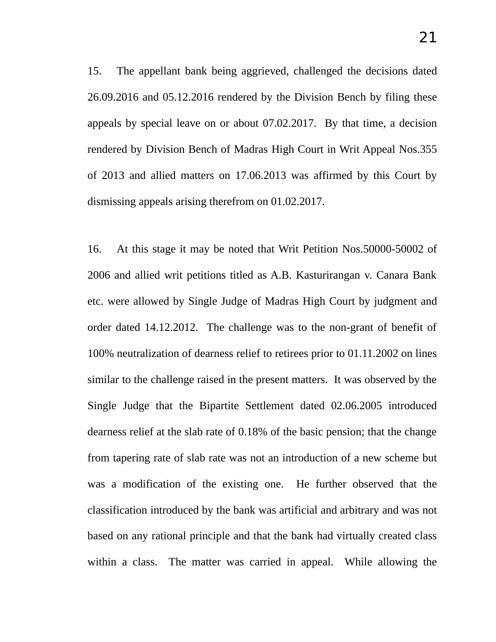15. The appellant bank being aggrieved, challenged the decisions dated 26.09.2016 and 05.12.2016 rendered by the Division Bench by filing these appeals by special leave on or about 07.02.2017. By that time, a decision rendered by Division Bench of Madras High Court in Writ Appeal Nos.355 of 2013 and allied matters on 17.06.2013 was affirmed by this Court by dismissing appeals arising therefrom on 01.02.2017.

16. At this stage it may be noted that Writ Petition Nos.50000-50002 of 2006 and allied writ petitions titled as A.B. Kasturirangan v. Canara Bank etc. were allowed by Single Judge of Madras High Court by judgment and order dated 14.12.2012. The challenge was to the non-grant of benefit of 100% neutralization of dearness relief to retirees prior to 01.11.2002 on lines similar to the challenge raised in the present matters. It was observed by the Single Judge that the Bipartite Settlement dated 02.06.2005 introduced dearness relief at the slab rate of 0.18% of the basic pension; that the change from tapering rate of slab rate was not an introduction of a new scheme but was a modification of the existing one. He further observed that the classification introduced by the bank was artificial and arbitrary and was not based on any rational principle and that the bank had virtually created class within a class. The matter was carried in appeal. While allowing the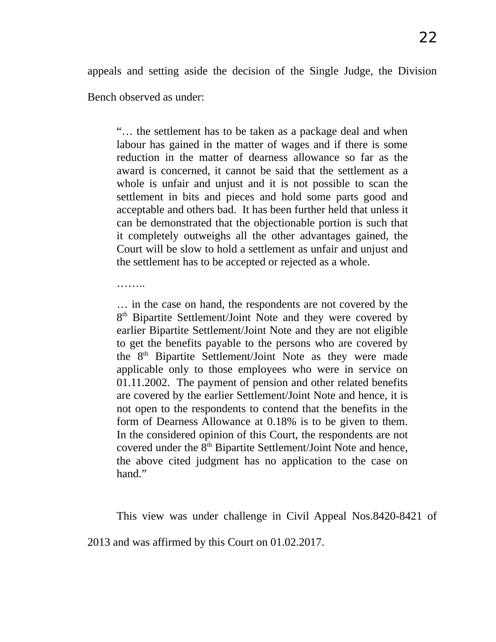appeals and setting aside the decision of the Single Judge, the Division

Bench observed as under:

………

"… the settlement has to be taken as a package deal and when labour has gained in the matter of wages and if there is some reduction in the matter of dearness allowance so far as the award is concerned, it cannot be said that the settlement as a whole is unfair and unjust and it is not possible to scan the settlement in bits and pieces and hold some parts good and acceptable and others bad. It has been further held that unless it can be demonstrated that the objectionable portion is such that it completely outweighs all the other advantages gained, the Court will be slow to hold a settlement as unfair and unjust and the settlement has to be accepted or rejected as a whole.

… in the case on hand, the respondents are not covered by the 8<sup>th</sup> Bipartite Settlement/Joint Note and they were covered by earlier Bipartite Settlement/Joint Note and they are not eligible to get the benefits payable to the persons who are covered by the  $8<sup>th</sup>$  Bipartite Settlement/Joint Note as they were made applicable only to those employees who were in service on 01.11.2002. The payment of pension and other related benefits are covered by the earlier Settlement/Joint Note and hence, it is not open to the respondents to contend that the benefits in the form of Dearness Allowance at 0.18% is to be given to them. In the considered opinion of this Court, the respondents are not covered under the 8<sup>th</sup> Bipartite Settlement/Joint Note and hence, the above cited judgment has no application to the case on hand."

This view was under challenge in Civil Appeal Nos.8420-8421 of 2013 and was affirmed by this Court on 01.02.2017.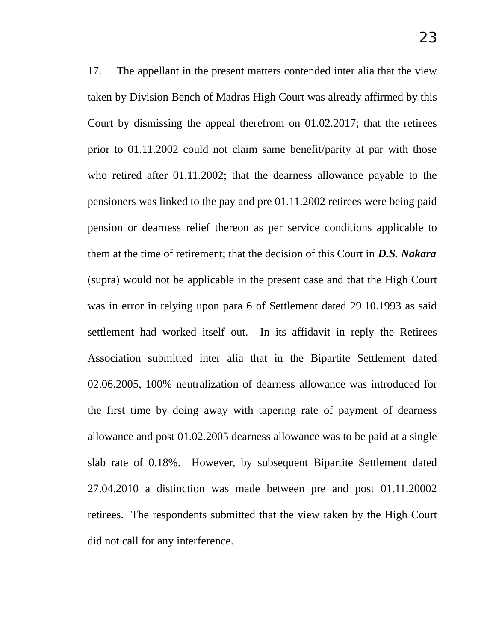17. The appellant in the present matters contended inter alia that the view taken by Division Bench of Madras High Court was already affirmed by this Court by dismissing the appeal therefrom on 01.02.2017; that the retirees prior to 01.11.2002 could not claim same benefit/parity at par with those who retired after 01.11.2002; that the dearness allowance payable to the pensioners was linked to the pay and pre 01.11.2002 retirees were being paid pension or dearness relief thereon as per service conditions applicable to them at the time of retirement; that the decision of this Court in *D.S. Nakara* (supra) would not be applicable in the present case and that the High Court was in error in relying upon para 6 of Settlement dated 29.10.1993 as said settlement had worked itself out. In its affidavit in reply the Retirees Association submitted inter alia that in the Bipartite Settlement dated 02.06.2005, 100% neutralization of dearness allowance was introduced for the first time by doing away with tapering rate of payment of dearness allowance and post 01.02.2005 dearness allowance was to be paid at a single slab rate of 0.18%. However, by subsequent Bipartite Settlement dated 27.04.2010 a distinction was made between pre and post 01.11.20002 retirees. The respondents submitted that the view taken by the High Court did not call for any interference.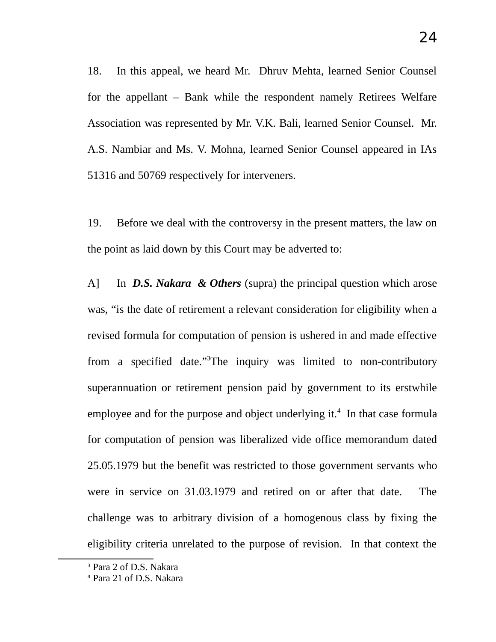18. In this appeal, we heard Mr. Dhruv Mehta, learned Senior Counsel for the appellant – Bank while the respondent namely Retirees Welfare Association was represented by Mr. V.K. Bali, learned Senior Counsel. Mr. A.S. Nambiar and Ms. V. Mohna, learned Senior Counsel appeared in IAs 51316 and 50769 respectively for interveners.

19. Before we deal with the controversy in the present matters, the law on the point as laid down by this Court may be adverted to:

A] In *D.S. Nakara & Others* (supra) the principal question which arose was, "is the date of retirement a relevant consideration for eligibility when a revised formula for computation of pension is ushered in and made effective from a specified date."[3](#page-23-0)The inquiry was limited to non-contributory superannuation or retirement pension paid by government to its erstwhile employee and for the purpose and object underlying it.<sup>[4](#page-23-1)</sup> In that case formula for computation of pension was liberalized vide office memorandum dated 25.05.1979 but the benefit was restricted to those government servants who were in service on 31.03.1979 and retired on or after that date. The challenge was to arbitrary division of a homogenous class by fixing the eligibility criteria unrelated to the purpose of revision. In that context the

<span id="page-23-0"></span><sup>&</sup>lt;sup>3</sup> Para 2 of D.S. Nakara

<span id="page-23-1"></span><sup>4</sup> Para 21 of D.S. Nakara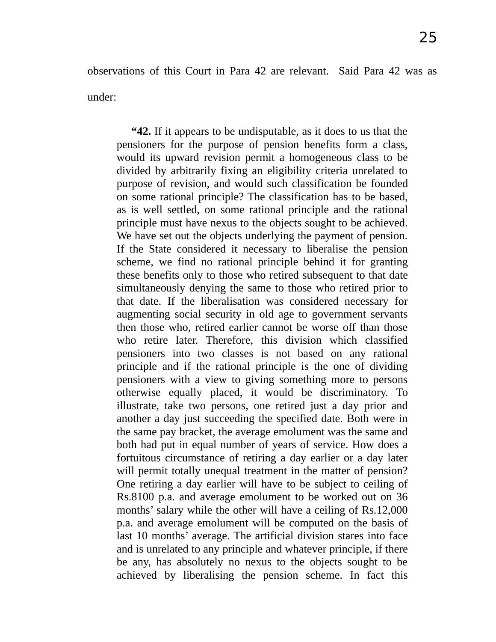observations of this Court in Para 42 are relevant. Said Para 42 was as under:

**"42.** If it appears to be undisputable, as it does to us that the pensioners for the purpose of pension benefits form a class, would its upward revision permit a homogeneous class to be divided by arbitrarily fixing an eligibility criteria unrelated to purpose of revision, and would such classification be founded on some rational principle? The classification has to be based, as is well settled, on some rational principle and the rational principle must have nexus to the objects sought to be achieved. We have set out the objects underlying the payment of pension. If the State considered it necessary to liberalise the pension scheme, we find no rational principle behind it for granting these benefits only to those who retired subsequent to that date simultaneously denying the same to those who retired prior to that date. If the liberalisation was considered necessary for augmenting social security in old age to government servants then those who, retired earlier cannot be worse off than those who retire later. Therefore, this division which classified pensioners into two classes is not based on any rational principle and if the rational principle is the one of dividing pensioners with a view to giving something more to persons otherwise equally placed, it would be discriminatory. To illustrate, take two persons, one retired just a day prior and another a day just succeeding the specified date. Both were in the same pay bracket, the average emolument was the same and both had put in equal number of years of service. How does a fortuitous circumstance of retiring a day earlier or a day later will permit totally unequal treatment in the matter of pension? One retiring a day earlier will have to be subject to ceiling of Rs.8100 p.a. and average emolument to be worked out on 36 months' salary while the other will have a ceiling of Rs.12,000 p.a. and average emolument will be computed on the basis of last 10 months' average. The artificial division stares into face and is unrelated to any principle and whatever principle, if there be any, has absolutely no nexus to the objects sought to be achieved by liberalising the pension scheme. In fact this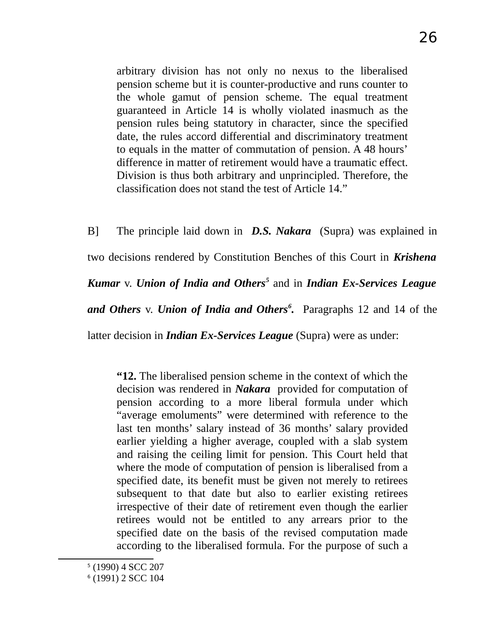arbitrary division has not only no nexus to the liberalised pension scheme but it is counter-productive and runs counter to the whole gamut of pension scheme. The equal treatment guaranteed in Article 14 is wholly violated inasmuch as the pension rules being statutory in character, since the specified date, the rules accord differential and discriminatory treatment to equals in the matter of commutation of pension. A 48 hours' difference in matter of retirement would have a traumatic effect. Division is thus both arbitrary and unprincipled. Therefore, the classification does not stand the test of Article 14."

B] The principle laid down in *D.S. Nakara* (Supra) was explained in two decisions rendered by Constitution Benches of this Court in *Krishena Kumar* v. *Union of India and Others[5](#page-25-0)* and in *Indian Ex-Services League and Others* v. *Union of India and Others[6](#page-25-1) .* Paragraphs 12 and 14 of the latter decision in *Indian Ex-Services League* (Supra) were as under:

**"12.** The liberalised pension scheme in the context of which the decision was rendered in *Nakara* provided for computation of pension according to a more liberal formula under which "average emoluments" were determined with reference to the last ten months' salary instead of 36 months' salary provided earlier yielding a higher average, coupled with a slab system and raising the ceiling limit for pension. This Court held that where the mode of computation of pension is liberalised from a specified date, its benefit must be given not merely to retirees subsequent to that date but also to earlier existing retirees irrespective of their date of retirement even though the earlier retirees would not be entitled to any arrears prior to the specified date on the basis of the revised computation made according to the liberalised formula. For the purpose of such a

<span id="page-25-0"></span><sup>5</sup> (1990) 4 SCC 207

<span id="page-25-1"></span><sup>6</sup> (1991) 2 SCC 104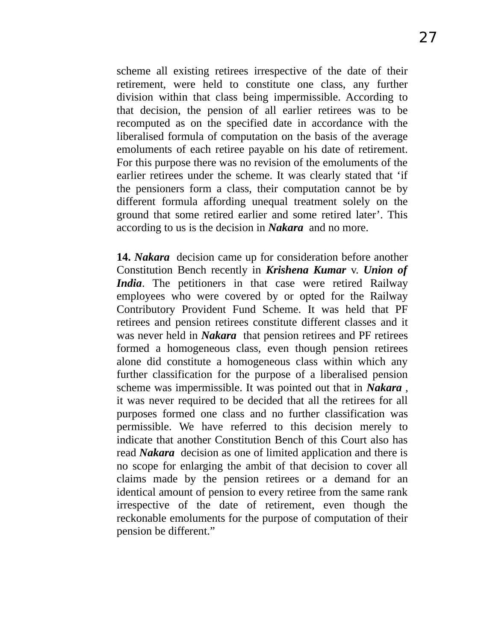scheme all existing retirees irrespective of the date of their retirement, were held to constitute one class, any further division within that class being impermissible. According to that decision, the pension of all earlier retirees was to be recomputed as on the specified date in accordance with the liberalised formula of computation on the basis of the average emoluments of each retiree payable on his date of retirement. For this purpose there was no revision of the emoluments of the earlier retirees under the scheme. It was clearly stated that 'if the pensioners form a class, their computation cannot be by different formula affording unequal treatment solely on the ground that some retired earlier and some retired later'. This according to us is the decision in *Nakara* and no more.

**14.** *Nakara* decision came up for consideration before another Constitution Bench recently in *Krishena Kumar* v. *Union of India*. The petitioners in that case were retired Railway employees who were covered by or opted for the Railway Contributory Provident Fund Scheme. It was held that PF retirees and pension retirees constitute different classes and it was never held in *Nakara* that pension retirees and PF retirees formed a homogeneous class, even though pension retirees alone did constitute a homogeneous class within which any further classification for the purpose of a liberalised pension scheme was impermissible. It was pointed out that in *Nakara* , it was never required to be decided that all the retirees for all purposes formed one class and no further classification was permissible. We have referred to this decision merely to indicate that another Constitution Bench of this Court also has read *Nakara* decision as one of limited application and there is no scope for enlarging the ambit of that decision to cover all claims made by the pension retirees or a demand for an identical amount of pension to every retiree from the same rank irrespective of the date of retirement, even though the reckonable emoluments for the purpose of computation of their pension be different."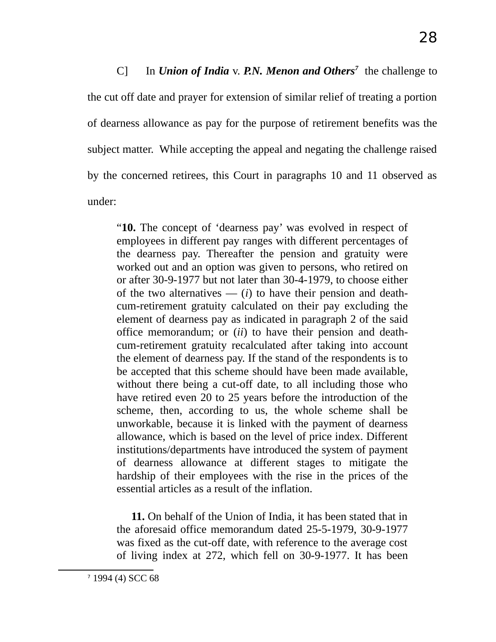C] In *Union of India* v. *P.N. Menon and Others[7](#page-27-0)* the challenge to the cut off date and prayer for extension of similar relief of treating a portion of dearness allowance as pay for the purpose of retirement benefits was the subject matter. While accepting the appeal and negating the challenge raised by the concerned retirees, this Court in paragraphs 10 and 11 observed as under:

"**10.** The concept of 'dearness pay' was evolved in respect of employees in different pay ranges with different percentages of the dearness pay. Thereafter the pension and gratuity were worked out and an option was given to persons, who retired on or after 30-9-1977 but not later than 30-4-1979, to choose either of the two alternatives  $\frac{d}{dt}$  to have their pension and deathcum-retirement gratuity calculated on their pay excluding the element of dearness pay as indicated in paragraph 2 of the said office memorandum; or (*ii*) to have their pension and deathcum-retirement gratuity recalculated after taking into account the element of dearness pay. If the stand of the respondents is to be accepted that this scheme should have been made available, without there being a cut-off date, to all including those who have retired even 20 to 25 years before the introduction of the scheme, then, according to us, the whole scheme shall be unworkable, because it is linked with the payment of dearness allowance, which is based on the level of price index. Different institutions/departments have introduced the system of payment of dearness allowance at different stages to mitigate the hardship of their employees with the rise in the prices of the essential articles as a result of the inflation.

**11.** On behalf of the Union of India, it has been stated that in the aforesaid office memorandum dated 25-5-1979, 30-9-1977 was fixed as the cut-off date, with reference to the average cost of living index at 272, which fell on 30-9-1977. It has been

<span id="page-27-0"></span>7 1994 (4) SCC 68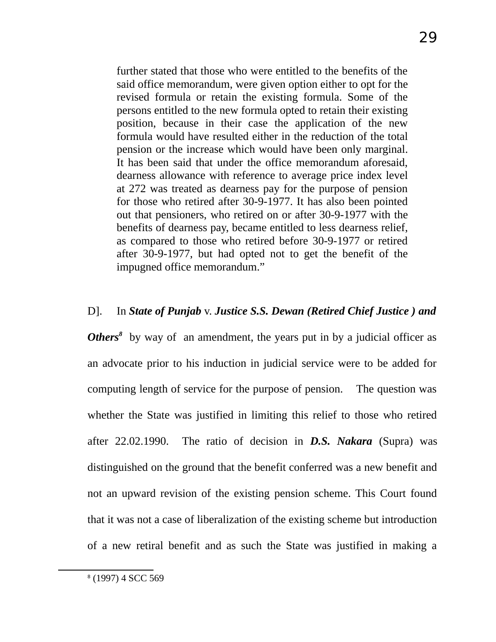further stated that those who were entitled to the benefits of the said office memorandum, were given option either to opt for the revised formula or retain the existing formula. Some of the persons entitled to the new formula opted to retain their existing position, because in their case the application of the new formula would have resulted either in the reduction of the total pension or the increase which would have been only marginal. It has been said that under the office memorandum aforesaid, dearness allowance with reference to average price index level at 272 was treated as dearness pay for the purpose of pension for those who retired after 30-9-1977. It has also been pointed out that pensioners, who retired on or after 30-9-1977 with the benefits of dearness pay, became entitled to less dearness relief, as compared to those who retired before 30-9-1977 or retired after 30-9-1977, but had opted not to get the benefit of the impugned office memorandum."

#### D]. In *State of Punjab* v. *Justice S.S. Dewan (Retired Chief Justice ) and*

**Others<sup>[8](#page-28-0)</sup>** by way of an amendment, the years put in by a judicial officer as an advocate prior to his induction in judicial service were to be added for computing length of service for the purpose of pension. The question was whether the State was justified in limiting this relief to those who retired after 22.02.1990. The ratio of decision in *D.S. Nakara* (Supra) was distinguished on the ground that the benefit conferred was a new benefit and not an upward revision of the existing pension scheme. This Court found that it was not a case of liberalization of the existing scheme but introduction of a new retiral benefit and as such the State was justified in making a

<span id="page-28-0"></span><sup>8</sup> (1997) 4 SCC 569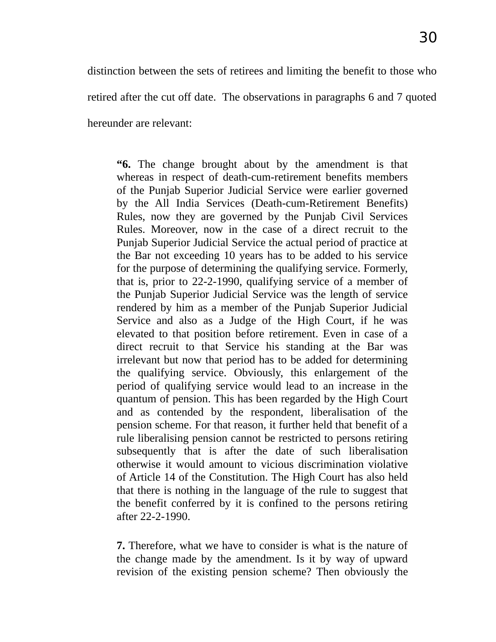distinction between the sets of retirees and limiting the benefit to those who retired after the cut off date. The observations in paragraphs 6 and 7 quoted hereunder are relevant:

**"6.** The change brought about by the amendment is that whereas in respect of death-cum-retirement benefits members of the Punjab Superior Judicial Service were earlier governed by the All India Services (Death-cum-Retirement Benefits) Rules, now they are governed by the Punjab Civil Services Rules. Moreover, now in the case of a direct recruit to the Punjab Superior Judicial Service the actual period of practice at the Bar not exceeding 10 years has to be added to his service for the purpose of determining the qualifying service. Formerly, that is, prior to 22-2-1990, qualifying service of a member of the Punjab Superior Judicial Service was the length of service rendered by him as a member of the Punjab Superior Judicial Service and also as a Judge of the High Court, if he was elevated to that position before retirement. Even in case of a direct recruit to that Service his standing at the Bar was irrelevant but now that period has to be added for determining the qualifying service. Obviously, this enlargement of the period of qualifying service would lead to an increase in the quantum of pension. This has been regarded by the High Court and as contended by the respondent, liberalisation of the pension scheme. For that reason, it further held that benefit of a rule liberalising pension cannot be restricted to persons retiring subsequently that is after the date of such liberalisation otherwise it would amount to vicious discrimination violative of Article 14 of the Constitution. The High Court has also held that there is nothing in the language of the rule to suggest that the benefit conferred by it is confined to the persons retiring after 22-2-1990.

**7.** Therefore, what we have to consider is what is the nature of the change made by the amendment. Is it by way of upward revision of the existing pension scheme? Then obviously the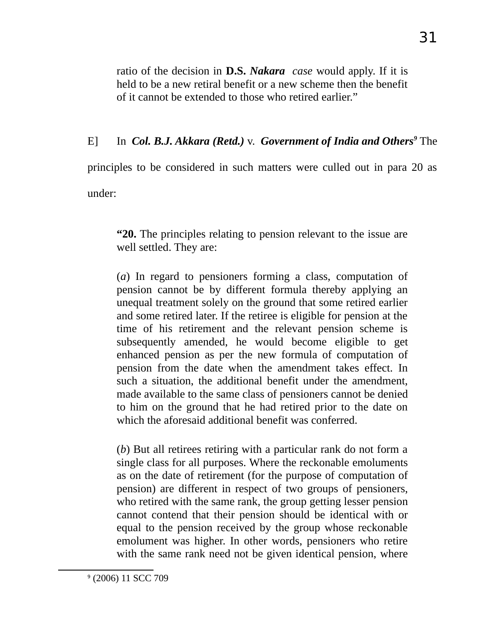ratio of the decision in **D.S.** *Nakara case* would apply. If it is held to be a new retiral benefit or a new scheme then the benefit of it cannot be extended to those who retired earlier."

# E] In *Col. B.J. Akkara (Retd.)* v. *Government of India and Others[9](#page-30-0)* The

principles to be considered in such matters were culled out in para 20 as

under:

**"20.** The principles relating to pension relevant to the issue are well settled. They are:

(*a*) In regard to pensioners forming a class, computation of pension cannot be by different formula thereby applying an unequal treatment solely on the ground that some retired earlier and some retired later. If the retiree is eligible for pension at the time of his retirement and the relevant pension scheme is subsequently amended, he would become eligible to get enhanced pension as per the new formula of computation of pension from the date when the amendment takes effect. In such a situation, the additional benefit under the amendment, made available to the same class of pensioners cannot be denied to him on the ground that he had retired prior to the date on which the aforesaid additional benefit was conferred.

(*b*) But all retirees retiring with a particular rank do not form a single class for all purposes. Where the reckonable emoluments as on the date of retirement (for the purpose of computation of pension) are different in respect of two groups of pensioners, who retired with the same rank, the group getting lesser pension cannot contend that their pension should be identical with or equal to the pension received by the group whose reckonable emolument was higher. In other words, pensioners who retire with the same rank need not be given identical pension, where

<span id="page-30-0"></span>9 (2006) 11 SCC 709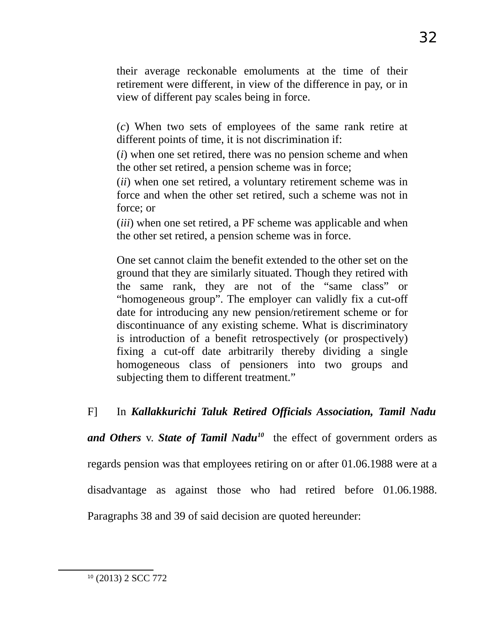their average reckonable emoluments at the time of their retirement were different, in view of the difference in pay, or in view of different pay scales being in force.

(*c*) When two sets of employees of the same rank retire at different points of time, it is not discrimination if:

(*i*) when one set retired, there was no pension scheme and when the other set retired, a pension scheme was in force;

(*ii*) when one set retired, a voluntary retirement scheme was in force and when the other set retired, such a scheme was not in force; or

(*iii*) when one set retired, a PF scheme was applicable and when the other set retired, a pension scheme was in force.

One set cannot claim the benefit extended to the other set on the ground that they are similarly situated. Though they retired with the same rank, they are not of the "same class" or "homogeneous group". The employer can validly fix a cut-off date for introducing any new pension/retirement scheme or for discontinuance of any existing scheme. What is discriminatory is introduction of a benefit retrospectively (or prospectively) fixing a cut-off date arbitrarily thereby dividing a single homogeneous class of pensioners into two groups and subjecting them to different treatment."

F] In *Kallakkurichi Taluk Retired Officials Association, Tamil Nadu*

*and Others* v. *State of Tamil Nadu[10](#page-31-0)* the effect of government orders as

regards pension was that employees retiring on or after 01.06.1988 were at a

disadvantage as against those who had retired before 01.06.1988.

Paragraphs 38 and 39 of said decision are quoted hereunder:

<span id="page-31-0"></span><sup>&</sup>lt;sup>10</sup> (2013) 2 SCC 772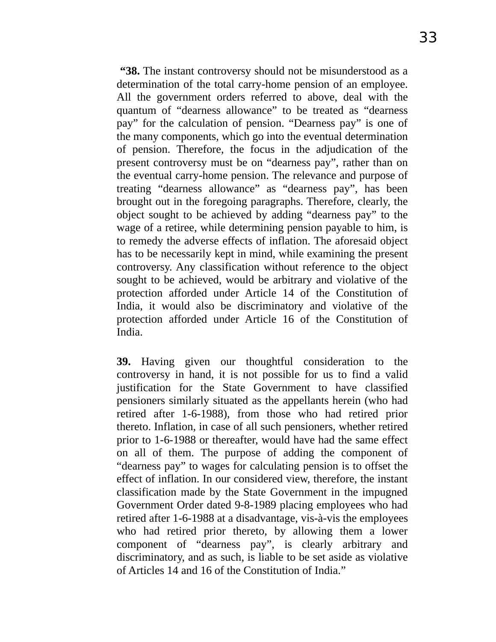**"38.** The instant controversy should not be misunderstood as a determination of the total carry-home pension of an employee. All the government orders referred to above, deal with the quantum of "dearness allowance" to be treated as "dearness pay" for the calculation of pension. "Dearness pay" is one of the many components, which go into the eventual determination of pension. Therefore, the focus in the adjudication of the present controversy must be on "dearness pay", rather than on the eventual carry-home pension. The relevance and purpose of treating "dearness allowance" as "dearness pay", has been brought out in the foregoing paragraphs. Therefore, clearly, the object sought to be achieved by adding "dearness pay" to the wage of a retiree, while determining pension payable to him, is to remedy the adverse effects of inflation. The aforesaid object has to be necessarily kept in mind, while examining the present controversy. Any classification without reference to the object sought to be achieved, would be arbitrary and violative of the protection afforded under Article 14 of the Constitution of India, it would also be discriminatory and violative of the protection afforded under Article 16 of the Constitution of India.

**39.** Having given our thoughtful consideration to the controversy in hand, it is not possible for us to find a valid justification for the State Government to have classified pensioners similarly situated as the appellants herein (who had retired after 1-6-1988), from those who had retired prior thereto. Inflation, in case of all such pensioners, whether retired prior to 1-6-1988 or thereafter, would have had the same effect on all of them. The purpose of adding the component of "dearness pay" to wages for calculating pension is to offset the effect of inflation. In our considered view, therefore, the instant classification made by the State Government in the impugned Government Order dated 9-8-1989 placing employees who had retired after 1-6-1988 at a disadvantage, vis-à-vis the employees who had retired prior thereto, by allowing them a lower component of "dearness pay", is clearly arbitrary and discriminatory, and as such, is liable to be set aside as violative of Articles 14 and 16 of the Constitution of India."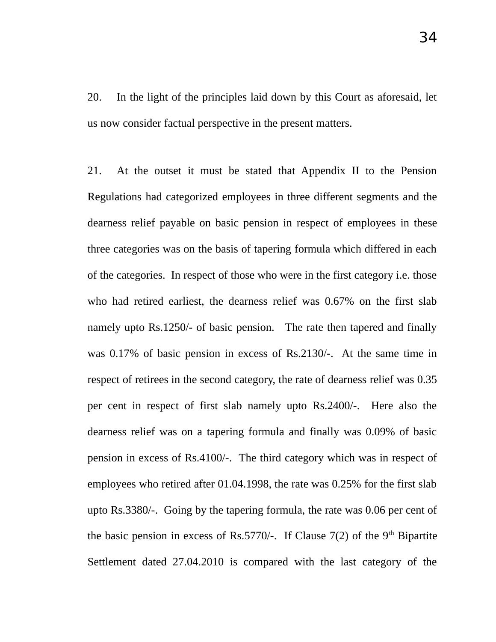20. In the light of the principles laid down by this Court as aforesaid, let us now consider factual perspective in the present matters.

21. At the outset it must be stated that Appendix II to the Pension Regulations had categorized employees in three different segments and the dearness relief payable on basic pension in respect of employees in these three categories was on the basis of tapering formula which differed in each of the categories. In respect of those who were in the first category i.e. those who had retired earliest, the dearness relief was 0.67% on the first slab namely upto Rs.1250/- of basic pension. The rate then tapered and finally was 0.17% of basic pension in excess of Rs.2130/-. At the same time in respect of retirees in the second category, the rate of dearness relief was 0.35 per cent in respect of first slab namely upto Rs.2400/-. Here also the dearness relief was on a tapering formula and finally was 0.09% of basic pension in excess of Rs.4100/-. The third category which was in respect of employees who retired after 01.04.1998, the rate was 0.25% for the first slab upto Rs.3380/-. Going by the tapering formula, the rate was 0.06 per cent of the basic pension in excess of Rs.5770/-. If Clause 7(2) of the  $9<sup>th</sup>$  Bipartite Settlement dated 27.04.2010 is compared with the last category of the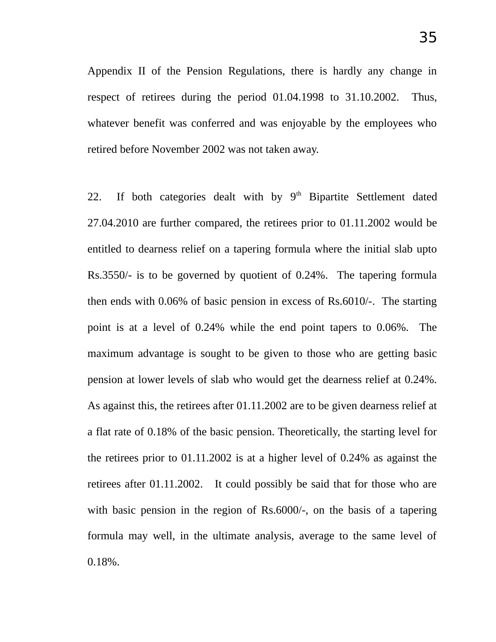Appendix II of the Pension Regulations, there is hardly any change in respect of retirees during the period 01.04.1998 to 31.10.2002. Thus, whatever benefit was conferred and was enjoyable by the employees who retired before November 2002 was not taken away.

22. If both categories dealt with by  $9<sup>th</sup>$  Bipartite Settlement dated 27.04.2010 are further compared, the retirees prior to 01.11.2002 would be entitled to dearness relief on a tapering formula where the initial slab upto Rs.3550/- is to be governed by quotient of 0.24%. The tapering formula then ends with 0.06% of basic pension in excess of Rs.6010/-. The starting point is at a level of 0.24% while the end point tapers to 0.06%. The maximum advantage is sought to be given to those who are getting basic pension at lower levels of slab who would get the dearness relief at 0.24%. As against this, the retirees after 01.11.2002 are to be given dearness relief at a flat rate of 0.18% of the basic pension. Theoretically, the starting level for the retirees prior to 01.11.2002 is at a higher level of 0.24% as against the retirees after 01.11.2002. It could possibly be said that for those who are with basic pension in the region of Rs.6000/-, on the basis of a tapering formula may well, in the ultimate analysis, average to the same level of 0.18%.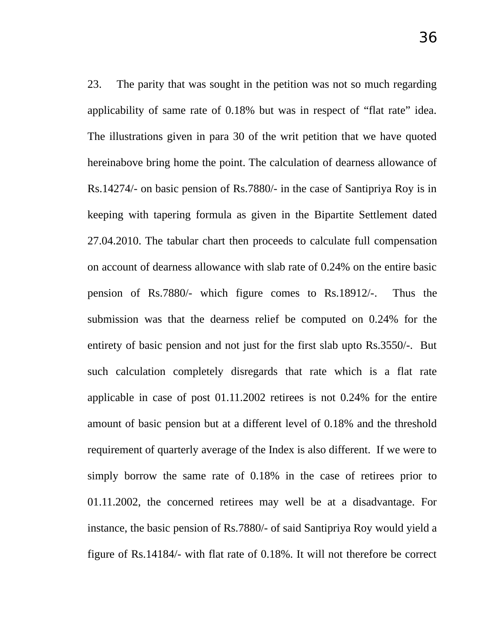23. The parity that was sought in the petition was not so much regarding applicability of same rate of 0.18% but was in respect of "flat rate" idea. The illustrations given in para 30 of the writ petition that we have quoted hereinabove bring home the point. The calculation of dearness allowance of Rs.14274/- on basic pension of Rs.7880/- in the case of Santipriya Roy is in keeping with tapering formula as given in the Bipartite Settlement dated 27.04.2010. The tabular chart then proceeds to calculate full compensation on account of dearness allowance with slab rate of 0.24% on the entire basic pension of Rs.7880/- which figure comes to Rs.18912/-. Thus the submission was that the dearness relief be computed on 0.24% for the entirety of basic pension and not just for the first slab upto Rs.3550/-. But such calculation completely disregards that rate which is a flat rate applicable in case of post 01.11.2002 retirees is not 0.24% for the entire amount of basic pension but at a different level of 0.18% and the threshold requirement of quarterly average of the Index is also different. If we were to simply borrow the same rate of 0.18% in the case of retirees prior to 01.11.2002, the concerned retirees may well be at a disadvantage. For instance, the basic pension of Rs.7880/- of said Santipriya Roy would yield a figure of Rs.14184/- with flat rate of 0.18%. It will not therefore be correct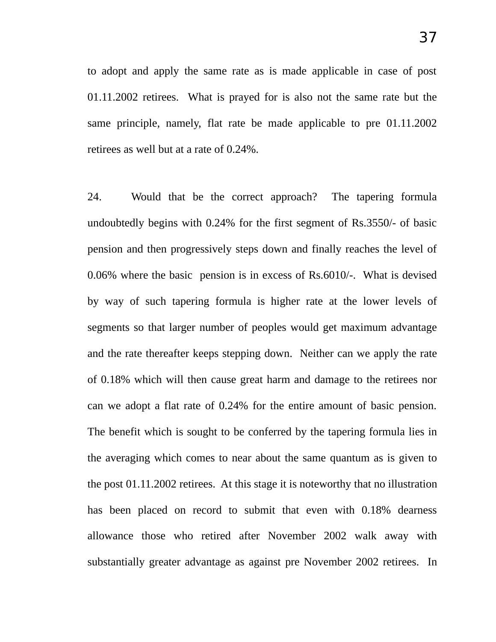to adopt and apply the same rate as is made applicable in case of post 01.11.2002 retirees. What is prayed for is also not the same rate but the same principle, namely, flat rate be made applicable to pre 01.11.2002 retirees as well but at a rate of 0.24%.

24. Would that be the correct approach? The tapering formula undoubtedly begins with 0.24% for the first segment of Rs.3550/- of basic pension and then progressively steps down and finally reaches the level of 0.06% where the basic pension is in excess of Rs.6010/-. What is devised by way of such tapering formula is higher rate at the lower levels of segments so that larger number of peoples would get maximum advantage and the rate thereafter keeps stepping down. Neither can we apply the rate of 0.18% which will then cause great harm and damage to the retirees nor can we adopt a flat rate of 0.24% for the entire amount of basic pension. The benefit which is sought to be conferred by the tapering formula lies in the averaging which comes to near about the same quantum as is given to the post 01.11.2002 retirees. At this stage it is noteworthy that no illustration has been placed on record to submit that even with 0.18% dearness allowance those who retired after November 2002 walk away with substantially greater advantage as against pre November 2002 retirees. In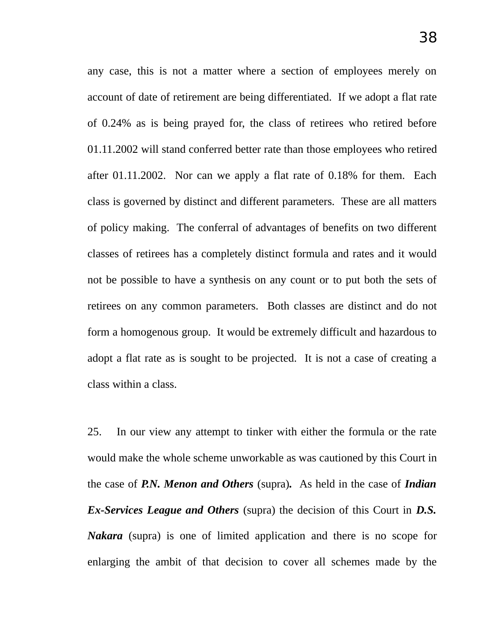any case, this is not a matter where a section of employees merely on account of date of retirement are being differentiated. If we adopt a flat rate of 0.24% as is being prayed for, the class of retirees who retired before 01.11.2002 will stand conferred better rate than those employees who retired after 01.11.2002. Nor can we apply a flat rate of 0.18% for them. Each class is governed by distinct and different parameters. These are all matters of policy making. The conferral of advantages of benefits on two different classes of retirees has a completely distinct formula and rates and it would not be possible to have a synthesis on any count or to put both the sets of retirees on any common parameters. Both classes are distinct and do not form a homogenous group. It would be extremely difficult and hazardous to adopt a flat rate as is sought to be projected. It is not a case of creating a class within a class.

25. In our view any attempt to tinker with either the formula or the rate would make the whole scheme unworkable as was cautioned by this Court in the case of *P.N. Menon and Others* (supra)*.* As held in the case of *Indian Ex-Services League and Others* (supra) the decision of this Court in *D.S. Nakara* (supra) is one of limited application and there is no scope for enlarging the ambit of that decision to cover all schemes made by the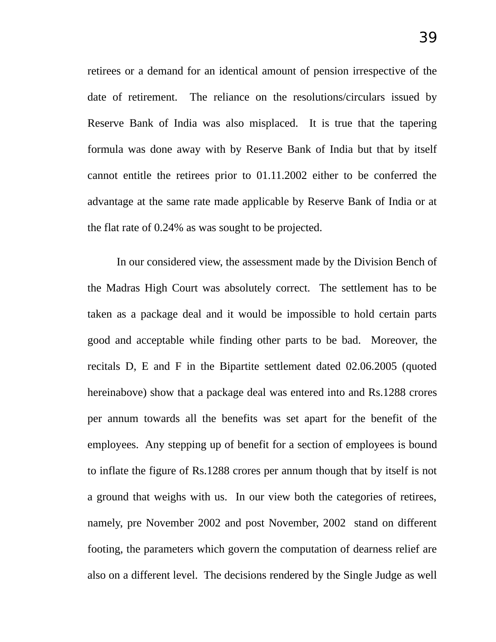retirees or a demand for an identical amount of pension irrespective of the date of retirement. The reliance on the resolutions/circulars issued by Reserve Bank of India was also misplaced. It is true that the tapering formula was done away with by Reserve Bank of India but that by itself cannot entitle the retirees prior to 01.11.2002 either to be conferred the advantage at the same rate made applicable by Reserve Bank of India or at the flat rate of 0.24% as was sought to be projected.

In our considered view, the assessment made by the Division Bench of the Madras High Court was absolutely correct. The settlement has to be taken as a package deal and it would be impossible to hold certain parts good and acceptable while finding other parts to be bad. Moreover, the recitals D, E and F in the Bipartite settlement dated 02.06.2005 (quoted hereinabove) show that a package deal was entered into and Rs.1288 crores per annum towards all the benefits was set apart for the benefit of the employees. Any stepping up of benefit for a section of employees is bound to inflate the figure of Rs.1288 crores per annum though that by itself is not a ground that weighs with us. In our view both the categories of retirees, namely, pre November 2002 and post November, 2002 stand on different footing, the parameters which govern the computation of dearness relief are also on a different level. The decisions rendered by the Single Judge as well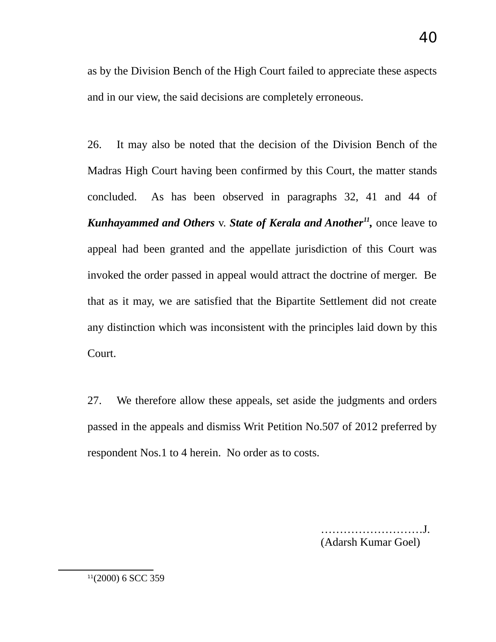as by the Division Bench of the High Court failed to appreciate these aspects and in our view, the said decisions are completely erroneous.

26. It may also be noted that the decision of the Division Bench of the Madras High Court having been confirmed by this Court, the matter stands concluded. As has been observed in paragraphs 32, 41 and 44 of Kunhayammed and Others v. State of Kerala and Another<sup>[11](#page-39-0)</sup>, once leave to appeal had been granted and the appellate jurisdiction of this Court was invoked the order passed in appeal would attract the doctrine of merger. Be that as it may, we are satisfied that the Bipartite Settlement did not create any distinction which was inconsistent with the principles laid down by this Court.

27. We therefore allow these appeals, set aside the judgments and orders passed in the appeals and dismiss Writ Petition No.507 of 2012 preferred by respondent Nos.1 to 4 herein. No order as to costs.

> ………………………J. (Adarsh Kumar Goel)

<span id="page-39-0"></span>11(2000) 6 SCC 359